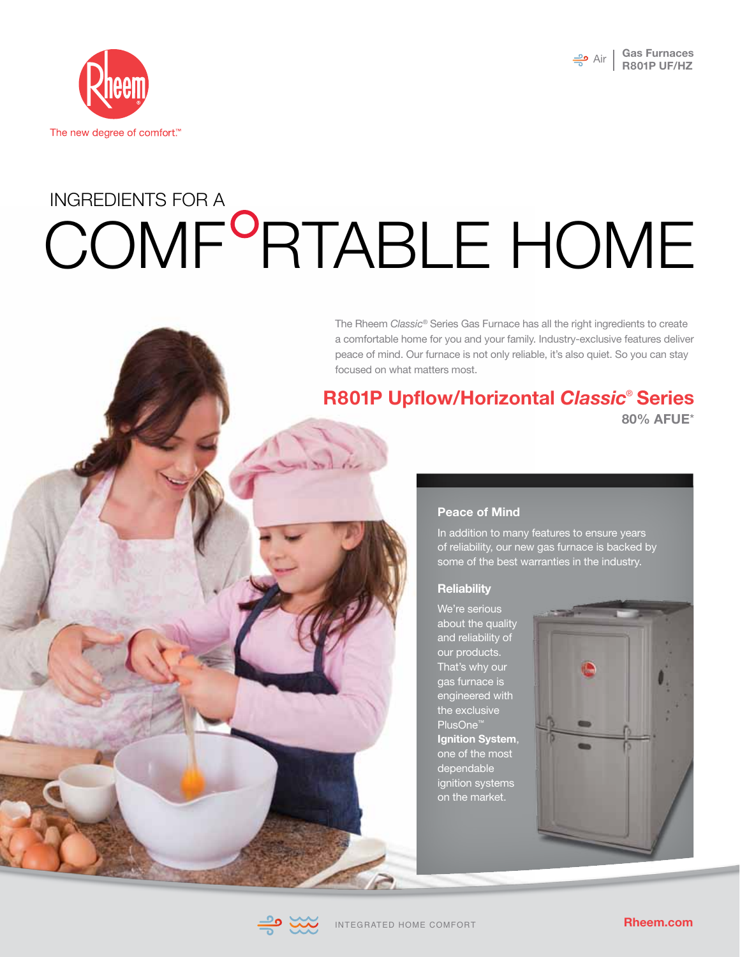



# COMF<sup>o</sup>RTABLE HOME INGREDIENTS FOR A

The Rheem *Classic*® Series Gas Furnace has all the right ingredients to create a comfortable home for you and your family. Industry-exclusive features deliver peace of mind. Our furnace is not only reliable, it's also quiet. So you can stay focused on what matters most.

# **R801P Upflow/Horizontal** *Classic*®  **Series 80% AFUE**\*



In addition to many features to ensure years of reliability, our new gas furnace is backed by some of the best warranties in the industry.

#### **Reliability**

We're serious about the quality and reliability of our products. That's why our gas furnace is engineered with the exclusive PlusOne™ **Ignition System**, one of the most dependable ignition systems on the market.